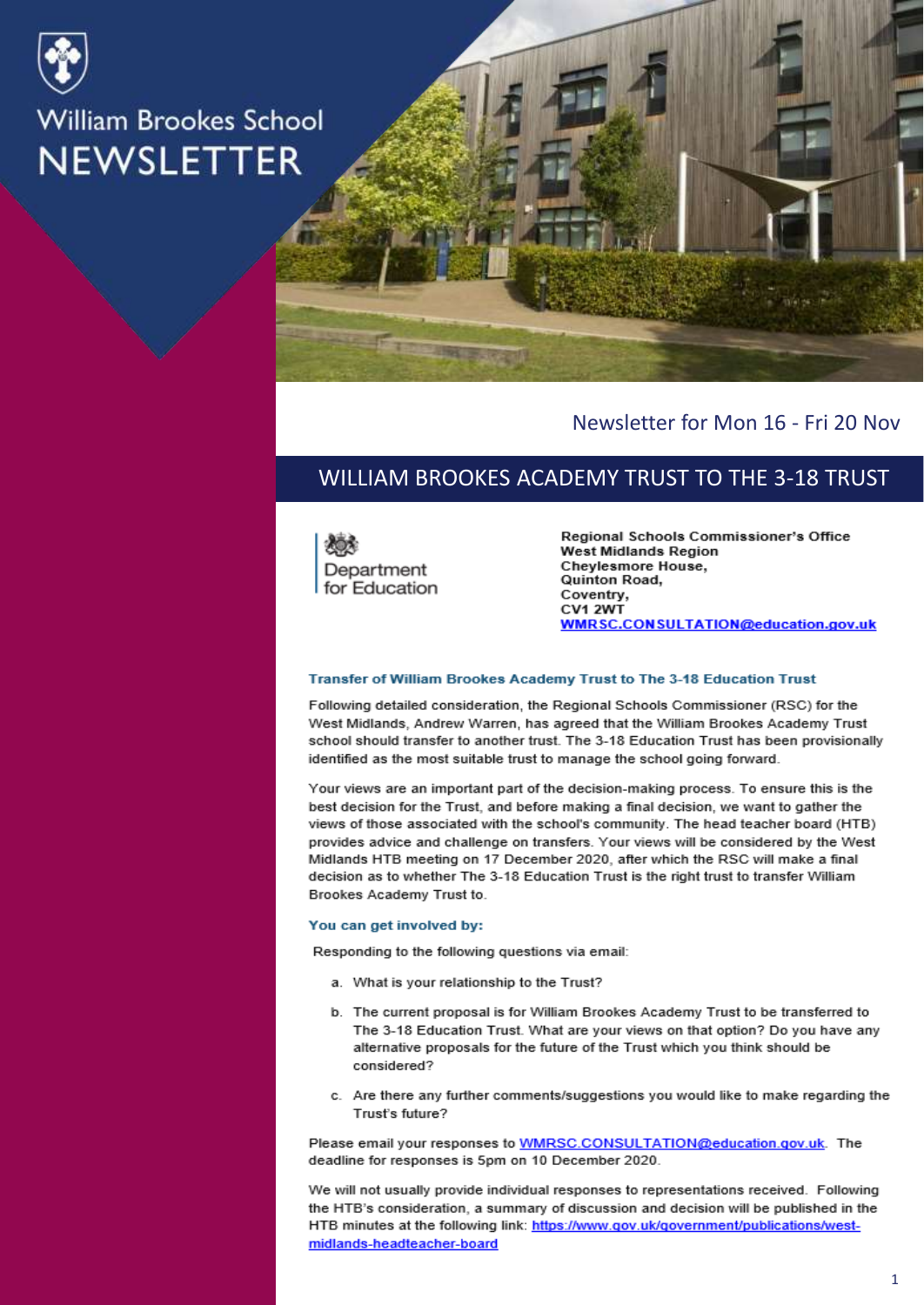



#### Newsletter for Mon 16 - Fri 20 Nov

### WILLIAM BROOKES ACADEMY TRUST TO THE 3-18 TRUST

Department for Education

Regional Schools Commissioner's Office **West Midlands Region** Cheylesmore House, Quinton Road, Coventry, CV1 2WT WMRSC.CONSULTATION@education.gov.uk

#### Transfer of William Brookes Academy Trust to The 3-18 Education Trust

Following detailed consideration, the Regional Schools Commissioner (RSC) for the West Midlands, Andrew Warren, has agreed that the William Brookes Academy Trust school should transfer to another trust. The 3-18 Education Trust has been provisionally identified as the most suitable trust to manage the school going forward.

Your views are an important part of the decision-making process. To ensure this is the best decision for the Trust, and before making a final decision, we want to gather the views of those associated with the school's community. The head teacher board (HTB) provides advice and challenge on transfers. Your views will be considered by the West Midlands HTB meeting on 17 December 2020, after which the RSC will make a final decision as to whether The 3-18 Education Trust is the right trust to transfer William Brookes Academy Trust to.

#### You can get involved by:

Responding to the following questions via email:

- a. What is your relationship to the Trust?
- b. The current proposal is for William Brookes Academy Trust to be transferred to The 3-18 Education Trust. What are your views on that option? Do you have any alternative proposals for the future of the Trust which you think should be considered?
- c. Are there any further comments/suggestions you would like to make regarding the Trust's future?

Please email your responses to WMRSC.CONSULTATION@education.gov.uk. The deadline for responses is 5pm on 10 December 2020.

We will not usually provide individual responses to representations received. Following the HTB's consideration, a summary of discussion and decision will be published in the HTB minutes at the following link: https://www.gov.uk/government/publications/westmidlands-headteacher-board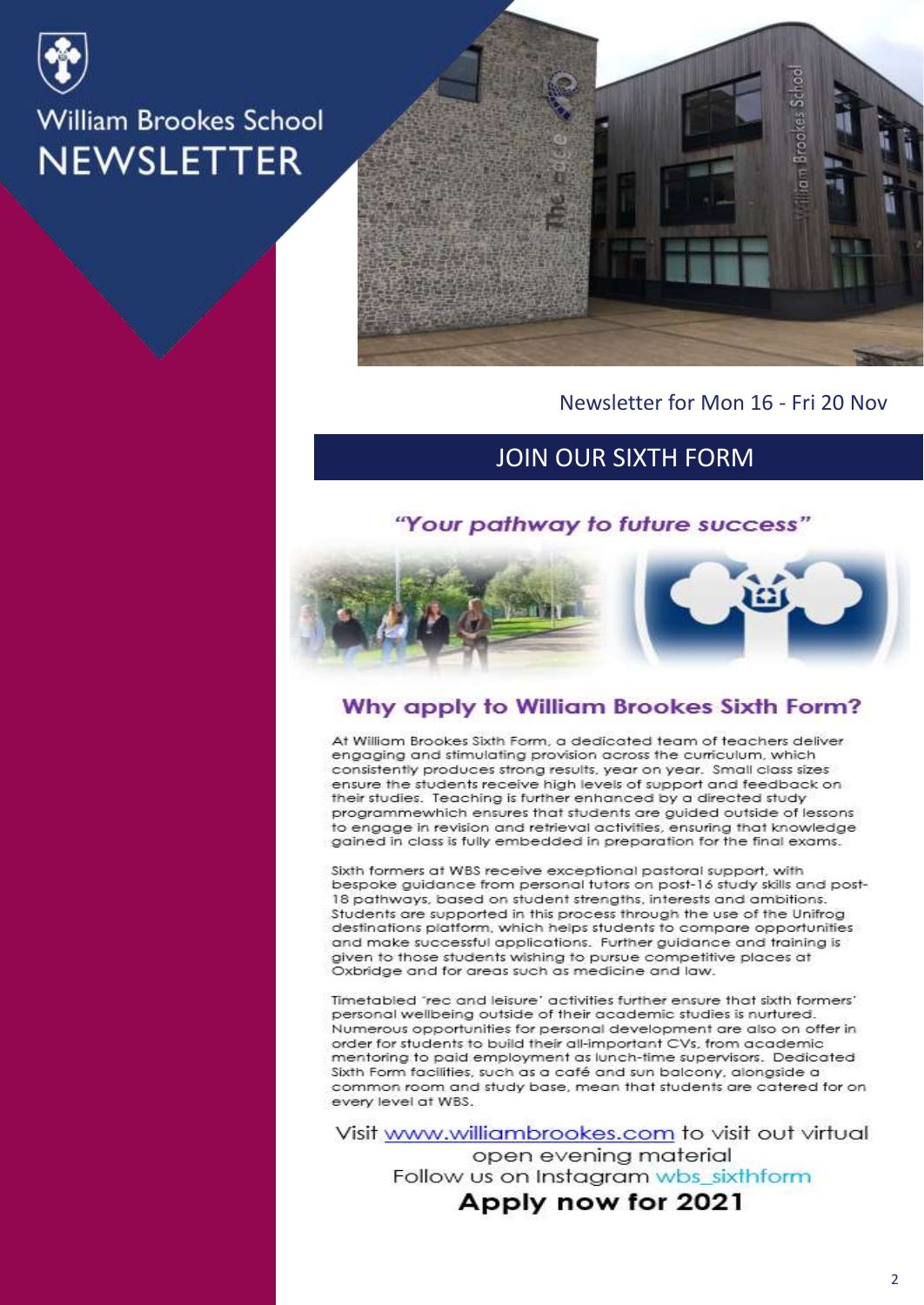



Newsletter for Mon 16 - Fri 20 Nov

# JOIN OUR SIXTH FORM

#### "Your pathway to future success"



#### Why apply to William Brookes Sixth Form?

At William Brookes Sixth Form, a dedicated team of teachers deliver engaging and stimulating provision across the curriculum, which consistently produces strong results, year on year. Small class sizes ensure the students receive high levels of support and feedback on their studies. Teaching is further enhanced by a directed study programmewhich ensures that students are guided outside of lessons to engage in revision and retrieval activities, ensuring that knowledge gained in class is fully embedded in preparation for the final exams.

Sixth formers at WBS receive exceptional pastoral support, with bespoke guidance from personal tutors on post-16 study skills and post-18 pathways, based on student strengths, interests and ambitions. Students are supported in this process through the use of the Unifrog destinations platform, which helps students to compare opportunities and make successful applications. Further guidance and training is given to those students wishing to pursue competitive places at Oxbridge and for areas such as medicine and law.

Timetabled 'rec and leisure' activities further ensure that sixth formers' personal wellbeing outside of their academic studies is nurtured. Numerous opportunities for personal development are also on offer in order for students to build their all-important CVs, from academic mentoring to paid employment as lunch-time supervisors. Dedicated Sixth Form facilities, such as a café and sun balcony, alongside a common room and study base, mean that students are catered for on every level at WBS.

Visit www.williambrookes.com to visit out virtual open evening material Follow us on Instagram wbs\_sixthform Apply now for 2021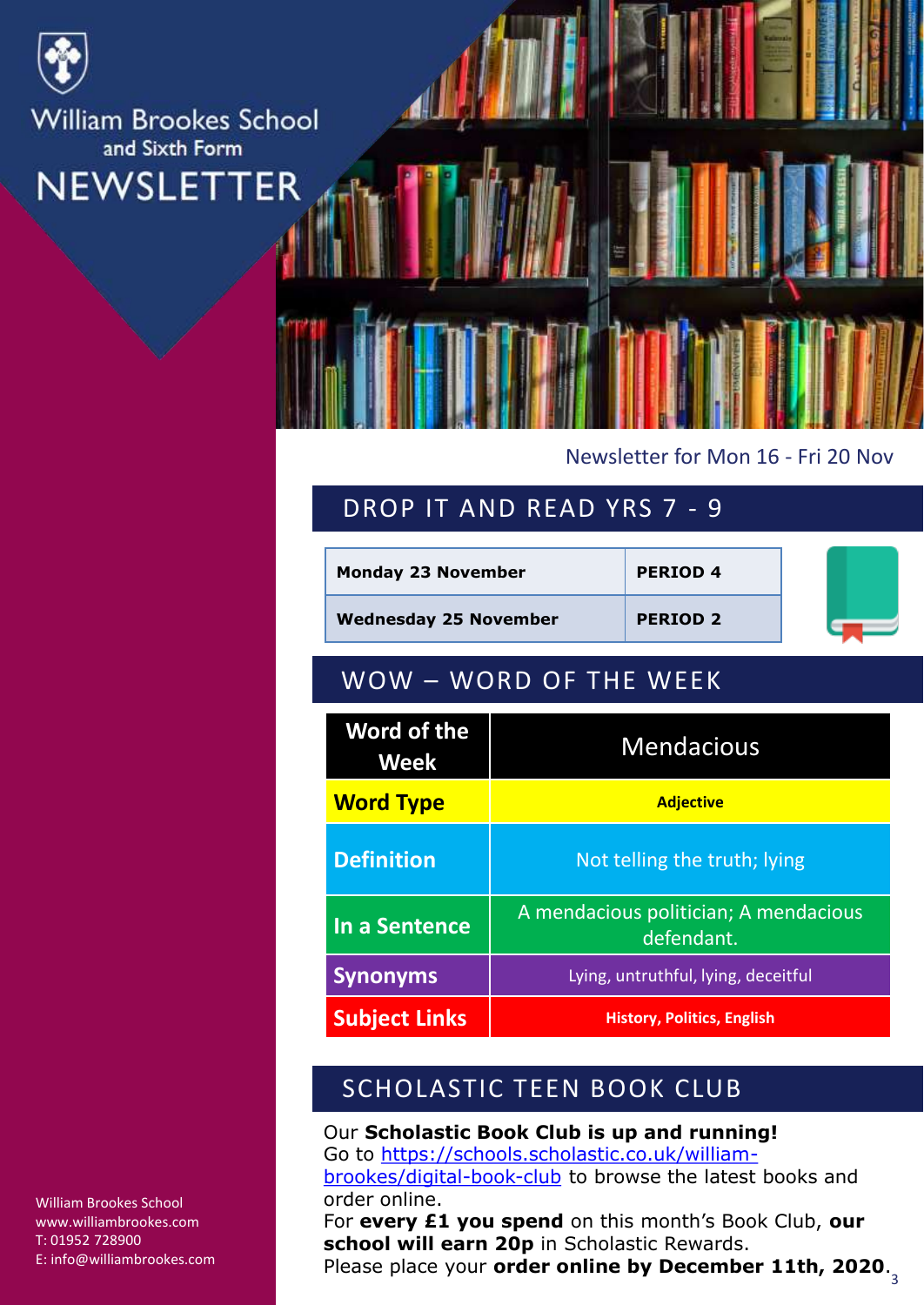

#### Newsletter for Mon 16 - Fri 20 Nov

# DROP IT AND READ YRS 7 - 9

| <b>Monday 23 November</b>    |                                                     | <b>PERIOD 4</b> |  |  |
|------------------------------|-----------------------------------------------------|-----------------|--|--|
| <b>Wednesday 25 November</b> |                                                     | <b>PERIOD 2</b> |  |  |
| WOW - WORD OF THE WEEK       |                                                     |                 |  |  |
| Word of the<br><b>Week</b>   | <b>Mendacious</b>                                   |                 |  |  |
| <b>Word Type</b>             | <b>Adjective</b>                                    |                 |  |  |
| <b>Definition</b>            | Not telling the truth; lying                        |                 |  |  |
| In a Sentence                | A mendacious politician; A mendacious<br>defendant. |                 |  |  |
| <b>Synonyms</b>              | Lying, untruthful, lying, deceitful                 |                 |  |  |
| <b>Subject Links</b>         | <b>History, Politics, English</b>                   |                 |  |  |

# SCHOLASTIC TEEN BOOK CLUB

Our **Scholastic Book Club is up and running!** Go to [https://schools.scholastic.co.uk/william](https://schools.scholastic.co.uk/william-brookes/digital-book-club)brookes/digital-book-club to browse the latest books and order online.

3 Please place your **order online by December 11th, 2020**.For **every £1 you spend** on this month's Book Club, **our school will earn 20p** in Scholastic Rewards.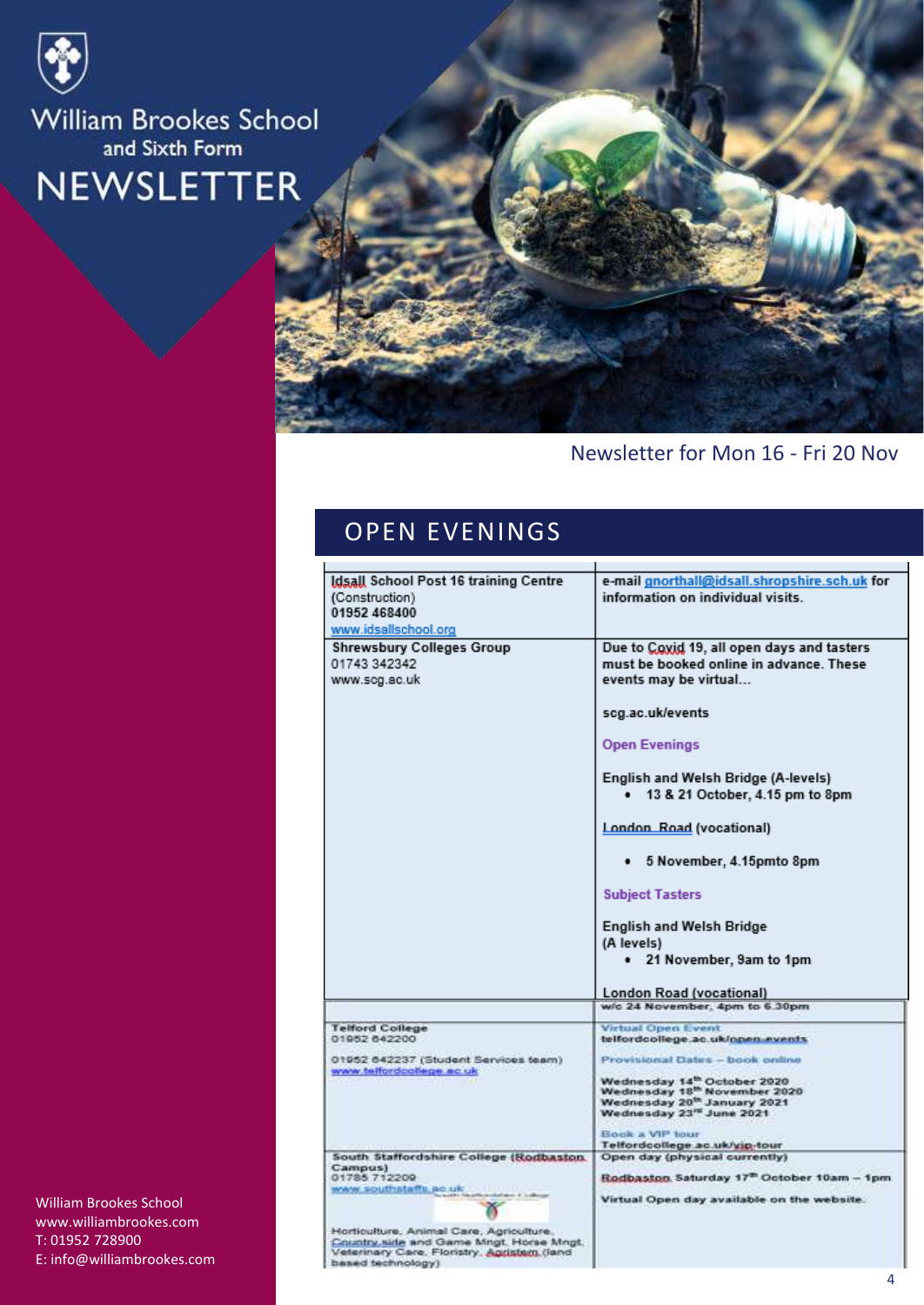



## Newsletter for Mon 16 - Fri 20 Nov

# OPEN EVENINGS

| Idsall School Post 16 training Centre<br>(Construction)<br>01952 468400<br>www.idsallschool.org                                                       | e-mail gnorthall@idsall.shropshire.sch.uk for<br>information on individual visits.                                                                                                           |
|-------------------------------------------------------------------------------------------------------------------------------------------------------|----------------------------------------------------------------------------------------------------------------------------------------------------------------------------------------------|
| <b>Shrewsbury Colleges Group</b><br>01743 342342<br>www.scg.ac.uk                                                                                     | Due to Coxid 19, all open days and tasters<br>must be booked online in advance. These<br>events may be virtual<br>scg.ac.uk/events<br><b>Open Evenings</b>                                   |
|                                                                                                                                                       | English and Welsh Bridge (A-levels)<br>13 & 21 October, 4.15 pm to 8pm                                                                                                                       |
|                                                                                                                                                       | London Road (vocational)                                                                                                                                                                     |
|                                                                                                                                                       | 5 November, 4.15pmto 8pm                                                                                                                                                                     |
|                                                                                                                                                       | <b>Subject Tasters</b>                                                                                                                                                                       |
|                                                                                                                                                       | <b>English and Welsh Bridge</b><br>(A levels)<br>21 November, 9am to 1pm<br>٠                                                                                                                |
|                                                                                                                                                       | London Road (vocational)                                                                                                                                                                     |
|                                                                                                                                                       | w/c 24 November, 4pm to 6.30pm                                                                                                                                                               |
| <b>Telford College</b><br>01952 642200                                                                                                                | <b>Virtual Open Event</b><br>telfordcollege.ac.uk/open.events                                                                                                                                |
| 01952 042237 (Student Services team)<br>www.telfordcollege.nc.uk                                                                                      | Provisional Dates - book online<br>Wednesday 14 <sup>th</sup> October 2020<br>Wednesday 18 <sup>th</sup> November 2020<br>Wednesday 20 <sup>th</sup> January 2021<br>Wednesday 23" June 2021 |
|                                                                                                                                                       | Book a VIP tour<br>Telfordcollege.ac.uk/yip-tour                                                                                                                                             |
| South Staffordshire College (Rodbaston,<br>Campus)                                                                                                    | Open day (physical currently)                                                                                                                                                                |
| 01785 712209<br>www.southstaffs.po.uk                                                                                                                 | Rodbaston Saturday 17 <sup>th</sup> October 10am - 1pm<br>Virtual Open day available on the website.                                                                                         |
| Horticulture, Animal Care, Agriculture,<br>Country side and Game Mngt. Horse Mngt.<br>Veterinary Care, Floristry, Agristam (land<br>based technology) |                                                                                                                                                                                              |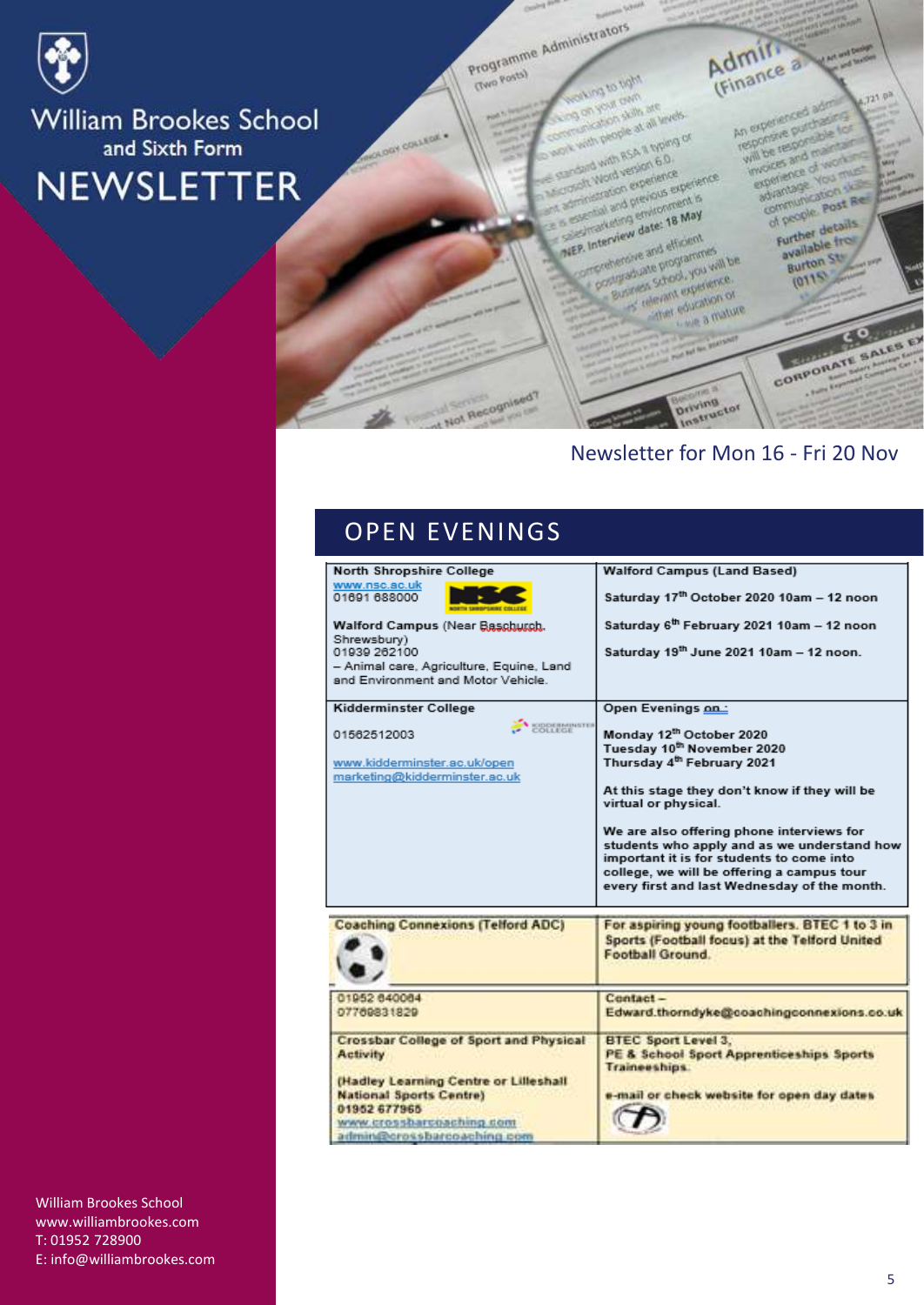

**Gwo Posta)** 

GY COLLEGE

Programme Administrators **Man or protic** on you awn

on your cam<br>on your cam are<br>cheaten skills at all y with propie at all levels<br>considers skills at all levels and with ession 6.0. one with ask a www.<br>sandwith assion 6.0.<br>condit Word version experience coand with version but<br>staft Word version experience<br>strinistration experience est<br>strinistration previonne completed version of the most completed by the completed by the most completed by the most completed by the May<br>completed by the completed by the most completed by the most completed by entirely the May

a Interview date: 18 May **MEP. Interview date: 18 May**<br>MEP. Interview date: 18 May<br>MEP. Interview date: 18 May P. Interview date: 16<br>P. Interview date: 16 elfosont P. Interview<br>Statement and efficient<br>Officializate programmes<br>Sucress Shock you will Business School Market of there equation of

ther education or education

CORPORATE SALES EX

**A Service** 

 $J23.0<sup>3</sup>$ 

# Newsletter for Mon 16 - Fri 20 Nov

**Driving**<br>Driving

Admin.

An experienced adm

An experienced administration will be responsible for<br>responsive purchasine for<br>will be responsible for

invoices and maintains<br>will be responsible

experience of working<br>experience of working<br>experience You must woices and of working

sperience<br>advantage vous

dramage<br>communication<br>of people post Red

f people details

Further detail

available<br>Burton St

 $2110$ 

## OPEN EVENINGS

Not Recognised?

| <b>Walford Campus (Land Based)</b>                                                                                                                                                                                                                                                                                                                                                                                           |
|------------------------------------------------------------------------------------------------------------------------------------------------------------------------------------------------------------------------------------------------------------------------------------------------------------------------------------------------------------------------------------------------------------------------------|
| Saturday 17th October 2020 10am - 12 noon                                                                                                                                                                                                                                                                                                                                                                                    |
| Saturday 6 <sup>th</sup> February 2021 10am - 12 noon                                                                                                                                                                                                                                                                                                                                                                        |
| Saturday 19th June 2021 10am - 12 noon.                                                                                                                                                                                                                                                                                                                                                                                      |
| Open Evenings on:                                                                                                                                                                                                                                                                                                                                                                                                            |
| Monday 12th October 2020<br>Tuesday 10 <sup>th</sup> November 2020<br>Thursday 4 <sup>th</sup> February 2021<br>At this stage they don't know if they will be<br>virtual or physical.<br>We are also offering phone interviews for<br>students who apply and as we understand how<br>important it is for students to come into<br>college, we will be offering a campus tour<br>every first and last Wednesday of the month. |
| For aspiring young footballers. BTEC 1 to 3 in<br>Sports (Football focus) at the Telford United<br>Football Ground.                                                                                                                                                                                                                                                                                                          |
| Contact-                                                                                                                                                                                                                                                                                                                                                                                                                     |
| Edward.thorndyke@coachingconnexions.co.uk                                                                                                                                                                                                                                                                                                                                                                                    |
| <b>BTEC Sport Level 3.</b><br>PE & School Sport Apprenticeships Sports<br><b>Traineeships.</b><br>e-mail or check website for open day dates                                                                                                                                                                                                                                                                                 |
|                                                                                                                                                                                                                                                                                                                                                                                                                              |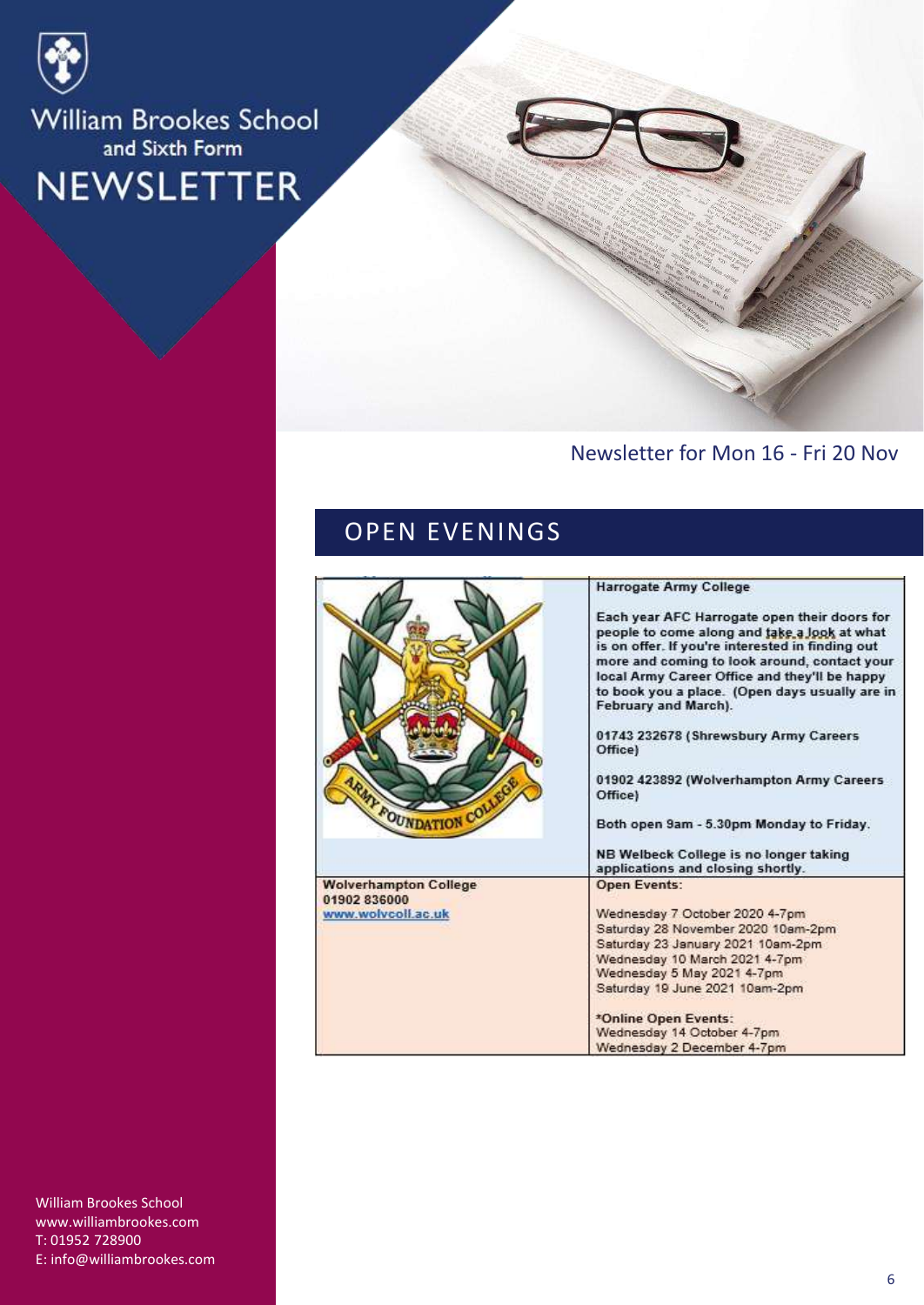

## Newsletter for Mon 16 - Fri 20 Nov

# OPEN EVENINGS

| <b>MY FOUNDATION COLLE</b>                                         | <b>Harrogate Army College</b><br>Each year AFC Harrogate open their doors for<br>people to come along and take a look at what<br>is on offer. If you're interested in finding out<br>more and coming to look around, contact your<br>local Army Career Office and they'll be happy<br>to book you a place. (Open days usually are in<br>February and March).<br>01743 232678 (Shrewsbury Army Careers<br>Office)<br>01902 423892 (Wolverhampton Army Careers<br>Office)<br>Both open 9am - 5.30pm Monday to Friday.<br>NB Welbeck College is no longer taking |
|--------------------------------------------------------------------|---------------------------------------------------------------------------------------------------------------------------------------------------------------------------------------------------------------------------------------------------------------------------------------------------------------------------------------------------------------------------------------------------------------------------------------------------------------------------------------------------------------------------------------------------------------|
| <b>Wolverhampton College</b><br>01902 836000<br>www.wolvcoll.ac.uk | applications and closing shortly.<br><b>Open Events:</b><br>Wednesday 7 October 2020 4-7pm<br>Saturday 28 November 2020 10am-2pm<br>Saturday 23 January 2021 10am-2pm<br>Wednesday 10 March 2021 4-7pm<br>Wednesday 5 May 2021 4-7pm<br>Saturday 19 June 2021 10am-2pm<br>*Online Open Events:<br>Wednesday 14 October 4-7pm<br>Wednesday 2 December 4-7pm                                                                                                                                                                                                    |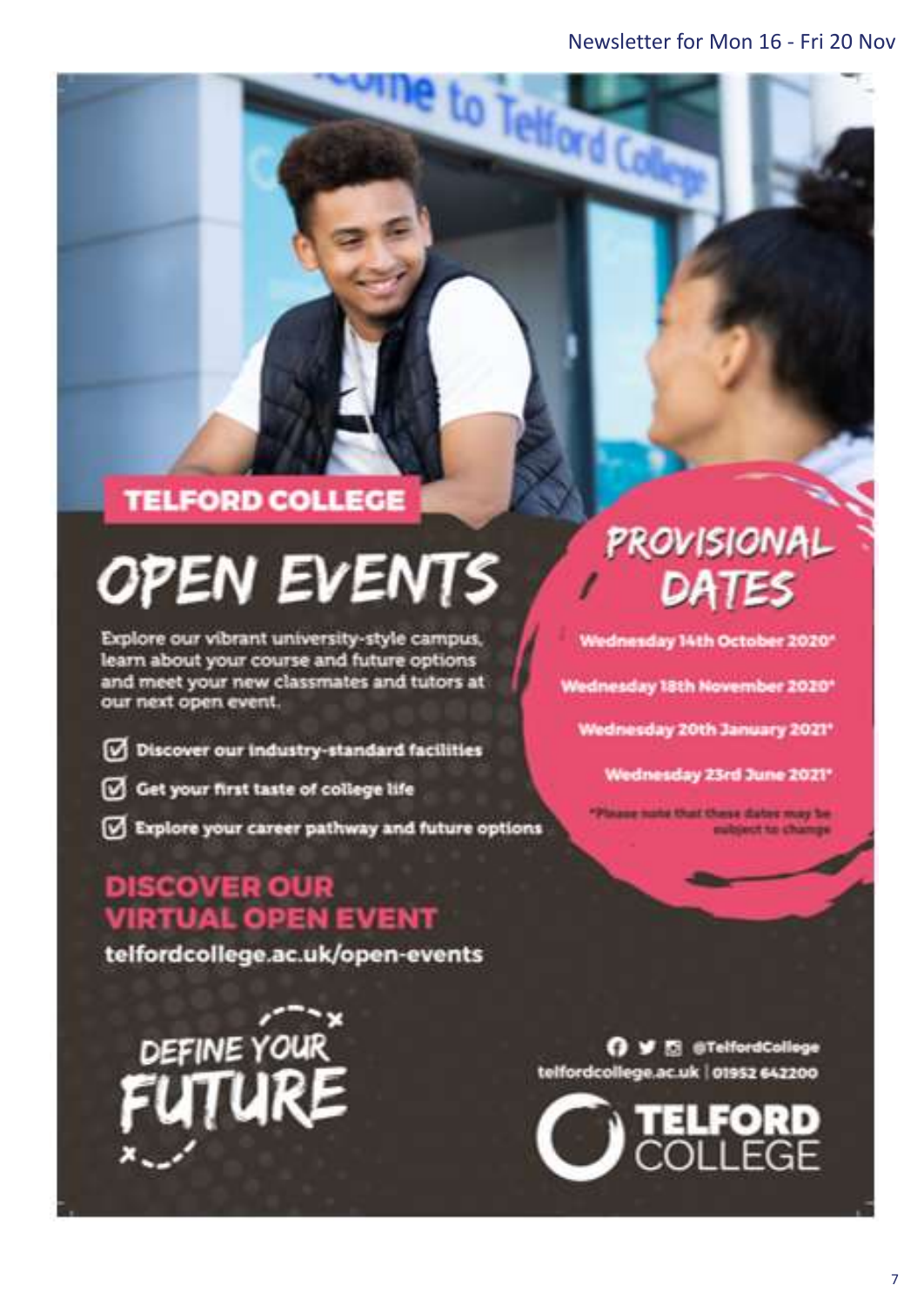to Telford C

# **TELFORD COLLEGE**

# **OPEN EVENTS**

Explore our vibrant university-style campus, learn about your course and future options and meet your new classmates and tutors at our next open event.

- Discover our industry-standard facilities
- Get your first taste of college life
- Explore your career pathway and future options

# **DISCOVER OUR VIRTUAL OPEN EVENT**

telfordcollege.ac.uk/open-events

DEFINE YOUR "

# **PROVISIONAL** DATES

Wednesday 14th October 2020\*

Wednesday 18th November 2020\*

Wednesday 20th January 2021\*

Wednesday 23rd June 2021\*

aug nate that these dates may be ubject to change

O V El @TelfordCollege telfordcollege.ac.uk | 01952 642200

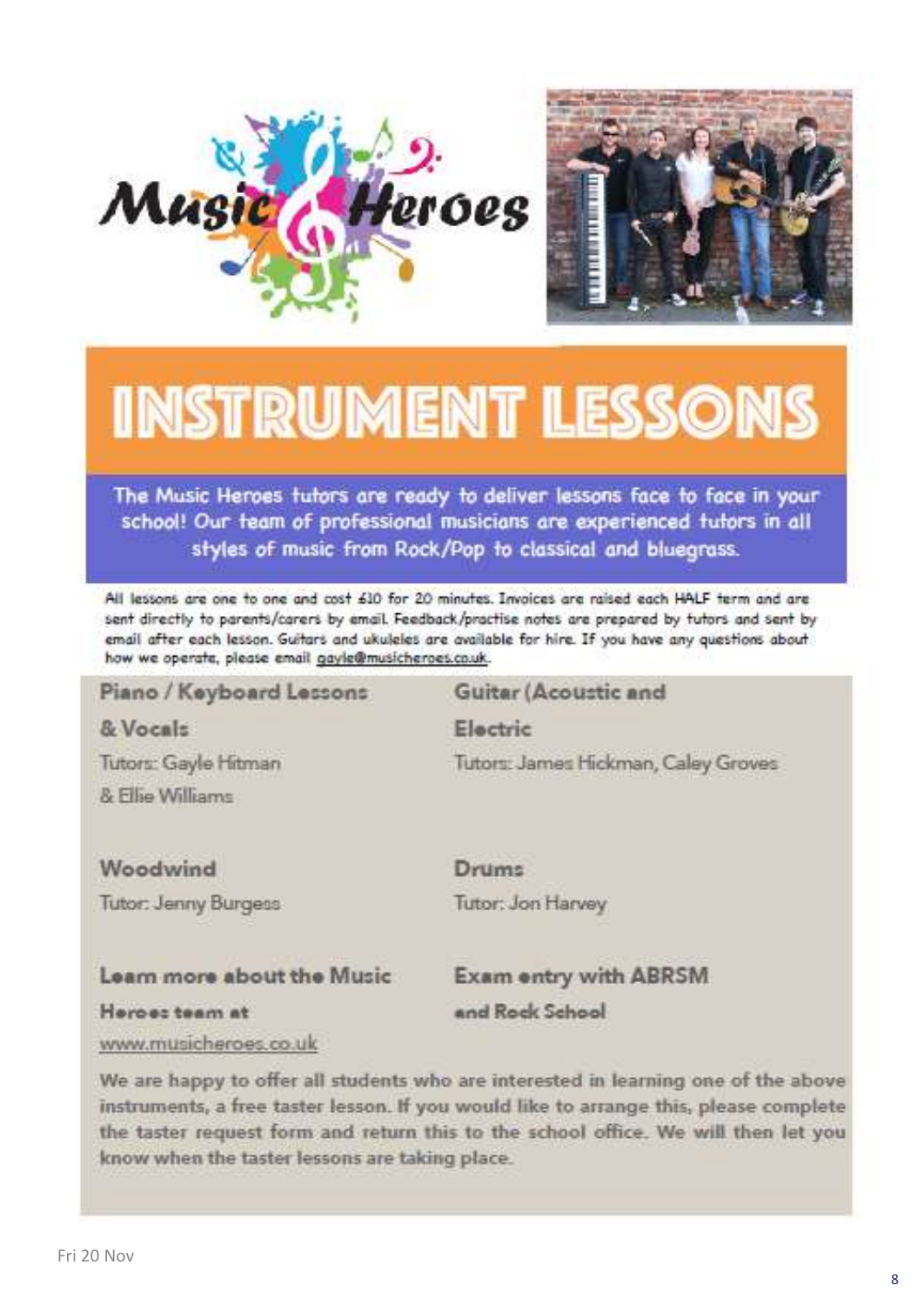



# **INSTRUMENT LESSONS**

The Music Heroes tutors are ready to deliver lessons face to face in your school! Our team of professional musicians are experienced tutors in all styles of music from Rock/Pop to classical and bluegrass.

All lessons are one to one and cost 610 for 20 minutes. Invoices are raised each HALF term and are sent directly to parents/carers by email. Feedback/practise notes are prepared by tutors and sent by email after each lesson. Guitars and ukuleles are available for hire. If you have any questions about how we operate, please email gayle@musicheroes.co.uk.

#### Piano / Keyboard Lessons Guitar (Acoustic and & Vocals Electric Tutors: Gayle Hitman Tutors: James Hickman, Caley Groves & Filip Williams Woodwind Drums Tutor: Jenny Burgess Tutor: Jon Harvey

#### Learn more about the Music

**Exam entry with ABRSM** and Rock School

Heroes team at

www.musicheroes.co.uk

We are happy to offer all students who are interested in learning one of the above instruments, a free taster lesson. If you would like to arrange this, please complete the taster request form and return this to the school office. We will then let you know when the taster lessons are taking place.